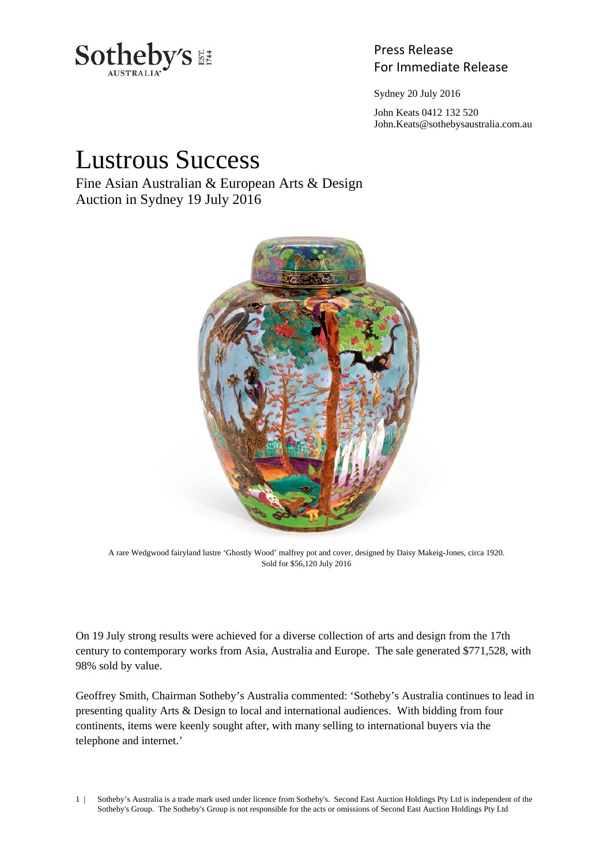

# Press Release

Sydney 20 July 2016

 John Keats 0412 132 520 John.Keats@sothebysaustralia.com.au

# Lustrous Success

Fine Asian Australian & European Arts & Design Auction in Sydney 19 July 2016



A rare Wedgwood fairyland lustre 'Ghostly Wood' malfrey pot and cover, designed by Daisy Makeig-Jones, circa 1920. Sold for \$56,120 July 2016

On 19 July strong results were achieved for a diverse collection of arts and design from the 17th century to contemporary works from Asia, Australia and Europe. The sale generated \$771,528, with 98% sold by value.

Geoffrey Smith, Chairman Sotheby's Australia commented: 'Sotheby's Australia continues to lead in presenting quality Arts & Design to local and international audiences. With bidding from four continents, items were keenly sought after, with many selling to international buyers via the telephone and internet.'

1 | Sotheby's Australia is a trade mark used under licence from Sotheby's. Second East Auction Holdings Pty Ltd is independent of the Sotheby's Group. The Sotheby's Group is not responsible for the acts or omissions of Second East Auction Holdings Pty Ltd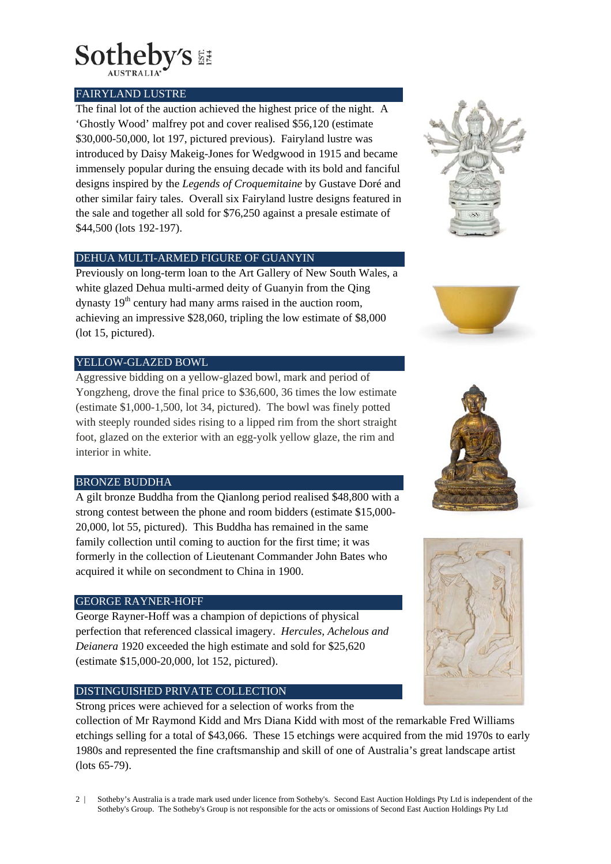

#### FAIRYLAND LUSTRE

The final lot of the auction achieved the highest price of the night. A 'Ghostly Wood' malfrey pot and cover realised \$56,120 (estimate \$30,000-50,000, lot 197, pictured previous). Fairyland lustre was introduced by Daisy Makeig-Jones for Wedgwood in 1915 and became immensely popular during the ensuing decade with its bold and fanciful designs inspired by the *Legends of Croquemitaine* by Gustave Doré and other similar fairy tales. Overall six Fairyland lustre designs featured in the sale and together all sold for \$76,250 against a presale estimate of \$44,500 (lots 192-197).

#### DEHUA MULTI-ARMED FIGURE OF GUANYIN

Previously on long-term loan to the Art Gallery of New South Wales, a white glazed Dehua multi-armed deity of Guanyin from the Qing dynasty  $19<sup>th</sup>$  century had many arms raised in the auction room, achieving an impressive \$28,060, tripling the low estimate of \$8,000 (lot 15, pictured).

## YELLOW-GLAZED BOWL

Aggressive bidding on a yellow-glazed bowl, mark and period of Yongzheng, drove the final price to \$36,600, 36 times the low estimate (estimate \$1,000-1,500, lot 34, pictured). The bowl was finely potted with steeply rounded sides rising to a lipped rim from the short straight foot, glazed on the exterior with an egg-yolk yellow glaze, the rim and interior in white.

# BRONZE BUDDHA

A gilt bronze Buddha from the Qianlong period realised \$48,800 with a strong contest between the phone and room bidders (estimate \$15,000- 20,000, lot 55, pictured). This Buddha has remained in the same family collection until coming to auction for the first time; it was formerly in the collection of Lieutenant Commander John Bates who acquired it while on secondment to China in 1900.

#### GEORGE RAYNER-HOFF

George Rayner-Hoff was a champion of depictions of physical perfection that referenced classical imagery. *Hercules, Achelous and Deianera* 1920 exceeded the high estimate and sold for \$25,620 (estimate \$15,000-20,000, lot 152, pictured).

## DISTINGUISHED PRIVATE COLLECTION

Strong prices were achieved for a selection of works from the collection of Mr Raymond Kidd and Mrs Diana Kidd with most of the remarkable Fred Williams etchings selling for a total of \$43,066. These 15 etchings were acquired from the mid 1970s to early 1980s and represented the fine craftsmanship and skill of one of Australia's great landscape artist (lots 65-79).









2 | Sotheby's Australia is a trade mark used under licence from Sotheby's. Second East Auction Holdings Pty Ltd is independent of the Sotheby's Group. The Sotheby's Group is not responsible for the acts or omissions of Second East Auction Holdings Pty Ltd